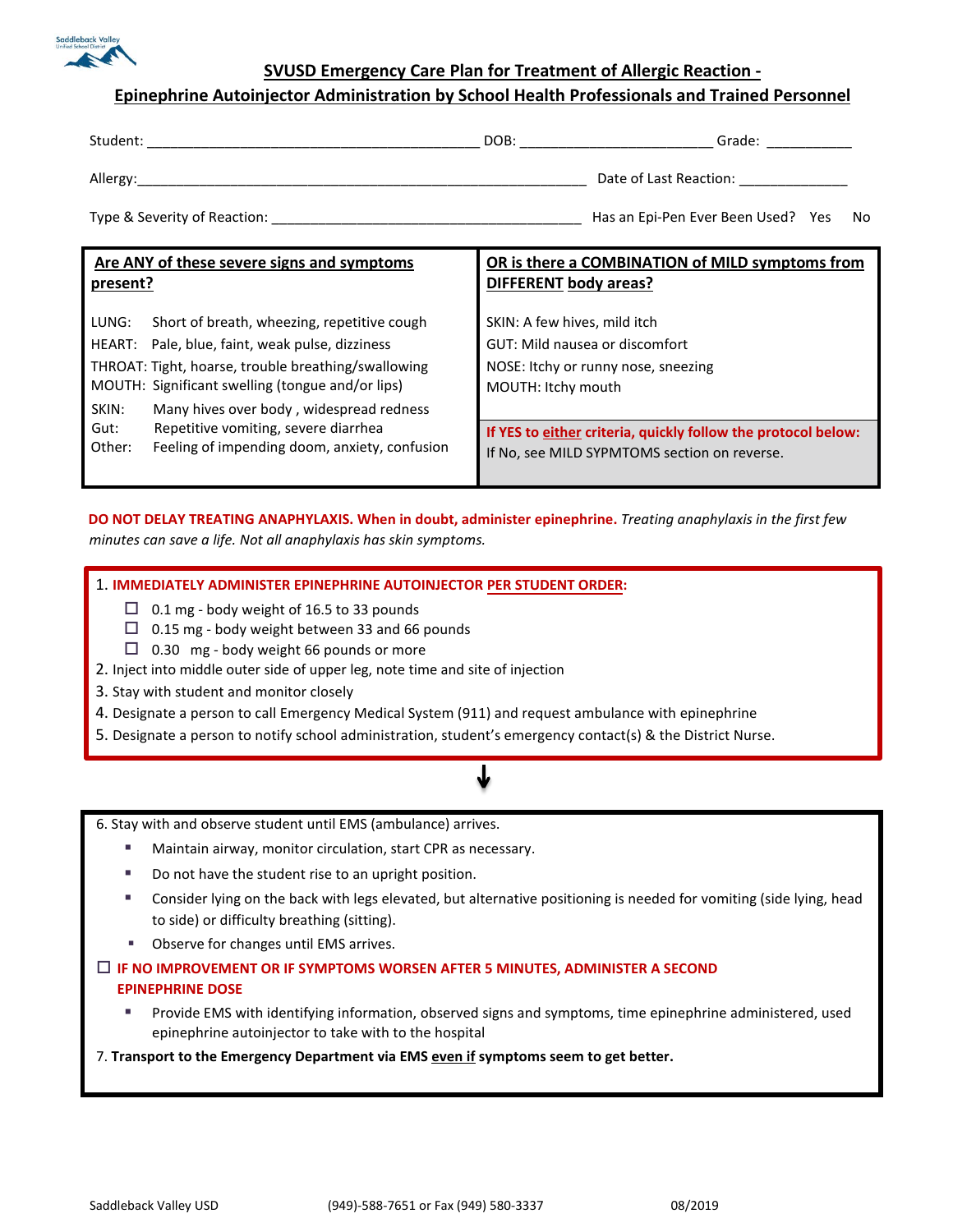

**SVUSD Emergency Care Plan for Treatment of Allergic Reaction -**

## **Epinephrine Autoinjector Administration by School Health Professionals and Trained Personnel**

| Student:                     | DOB:                   | Grade:                                |  |
|------------------------------|------------------------|---------------------------------------|--|
| Allergy:                     | Date of Last Reaction: |                                       |  |
| Type & Severity of Reaction: |                        | Has an Epi-Pen Ever Been Used? Yes No |  |

| Are ANY of these severe signs and symptoms                                                              | OR is there a COMBINATION of MILD symptoms from                                                               |  |
|---------------------------------------------------------------------------------------------------------|---------------------------------------------------------------------------------------------------------------|--|
| present?                                                                                                | <b>DIFFERENT body areas?</b>                                                                                  |  |
| Short of breath, wheezing, repetitive cough<br>LUNG:<br>HEART: Pale, blue, faint, weak pulse, dizziness | SKIN: A few hives, mild itch<br>GUT: Mild nausea or discomfort                                                |  |
| THROAT: Tight, hoarse, trouble breathing/swallowing<br>MOUTH: Significant swelling (tongue and/or lips) | NOSE: Itchy or runny nose, sneezing<br>MOUTH: Itchy mouth                                                     |  |
| Many hives over body, widespread redness<br>SKIN:                                                       |                                                                                                               |  |
| Repetitive vomiting, severe diarrhea<br>Gut:<br>Feeling of impending doom, anxiety, confusion<br>Other: | If YES to either criteria, quickly follow the protocol below:<br>If No, see MILD SYPMTOMS section on reverse. |  |

**DO NOT DELAY TREATING ANAPHYLAXIS. When in doubt, administer epinephrine.** *Treating anaphylaxis in the first few minutes can save a life. Not all anaphylaxis has skin symptoms.*

### 1. **IMMEDIATELY ADMINISTER EPINEPHRINE AUTOINJECTOR PER STUDENT ORDER:**

- $\Box$  0.1 mg body weight of 16.5 to 33 pounds
- $\Box$  0.15 mg body weight between 33 and 66 pounds
- $\Box$  0.30 mg body weight 66 pounds or more
- 2. Inject into middle outer side of upper leg, note time and site of injection
- 3. Stay with student and monitor closely
- 4. Designate a person to call Emergency Medical System (911) and request ambulance with epinephrine
- 5. Designate a person to notify school administration, student's emergency contact(s) & the District Nurse.

6. Stay with and observe student until EMS (ambulance) arrives.

- Maintain airway, monitor circulation, start CPR as necessary.
- Do not have the student rise to an upright position.
- Consider lying on the back with legs elevated, but alternative positioning is needed for vomiting (side lying, head to side) or difficulty breathing (sitting).
- Observe for changes until EMS arrives.

## **IF NO IMPROVEMENT OR IF SYMPTOMS WORSEN AFTER 5 MINUTES, ADMINISTER A SECOND EPINEPHRINE DOSE**

 Provide EMS with identifying information, observed signs and symptoms, time epinephrine administered, used epinephrine autoinjector to take with to the hospital

#### 7. **Transport to the Emergency Department via EMS even if symptoms seem to get better.**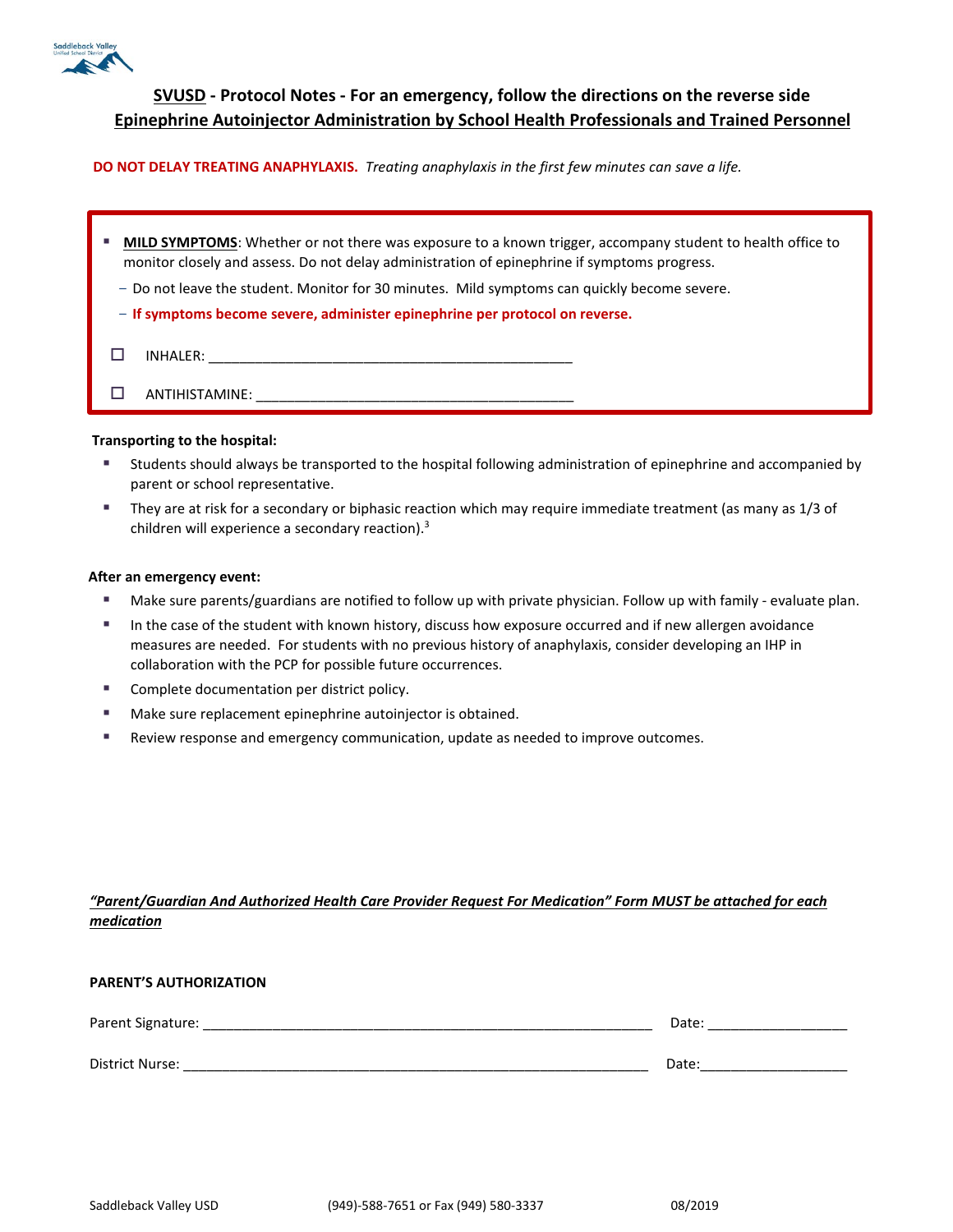

# **SVUSD - Protocol Notes - For an emergency, follow the directions on the reverse side Epinephrine Autoinjector Administration by School Health Professionals and Trained Personnel**

#### **DO NOT DELAY TREATING ANAPHYLAXIS.** *Treating anaphylaxis in the first few minutes can save a life.*

| u. | <b>MILD SYMPTOMS:</b> Whether or not there was exposure to a known trigger, accompany student to health office to<br>monitor closely and assess. Do not delay administration of epinephrine if symptoms progress. |
|----|-------------------------------------------------------------------------------------------------------------------------------------------------------------------------------------------------------------------|
|    | - Do not leave the student. Monitor for 30 minutes. Mild symptoms can quickly become severe.                                                                                                                      |
|    | - If symptoms become severe, administer epinephrine per protocol on reverse.                                                                                                                                      |
|    | INHALER:                                                                                                                                                                                                          |
|    | ANTIHISTAMINE:                                                                                                                                                                                                    |

#### **Transporting to the hospital:**

- Students should always be transported to the hospital following administration of epinephrine and accompanied by parent or school representative.
- They are at risk for a secondary or biphasic reaction which may require immediate treatment (as many as 1/3 of children will experience a secondary reaction).3

#### **After an emergency event:**

- Make sure parents/guardians are notified to follow up with private physician. Follow up with family evaluate plan.
- In the case of the student with known history, discuss how exposure occurred and if new allergen avoidance measures are needed. For students with no previous history of anaphylaxis, consider developing an IHP in collaboration with the PCP for possible future occurrences.
- **EXECOMPLETE COMPLETE COMPLETE** Complete documentation per district policy.
- Make sure replacement epinephrine autoinjector is obtained.
- Review response and emergency communication, update as needed to improve outcomes.

## *"Parent/Guardian And Authorized Health Care Provider Request For Medication" Form MUST be attached for each medication*

| <b>PARENT'S AUTHORIZATION</b> |       |  |
|-------------------------------|-------|--|
| Parent Signature:             | Date: |  |
| District Nurse:               | Date: |  |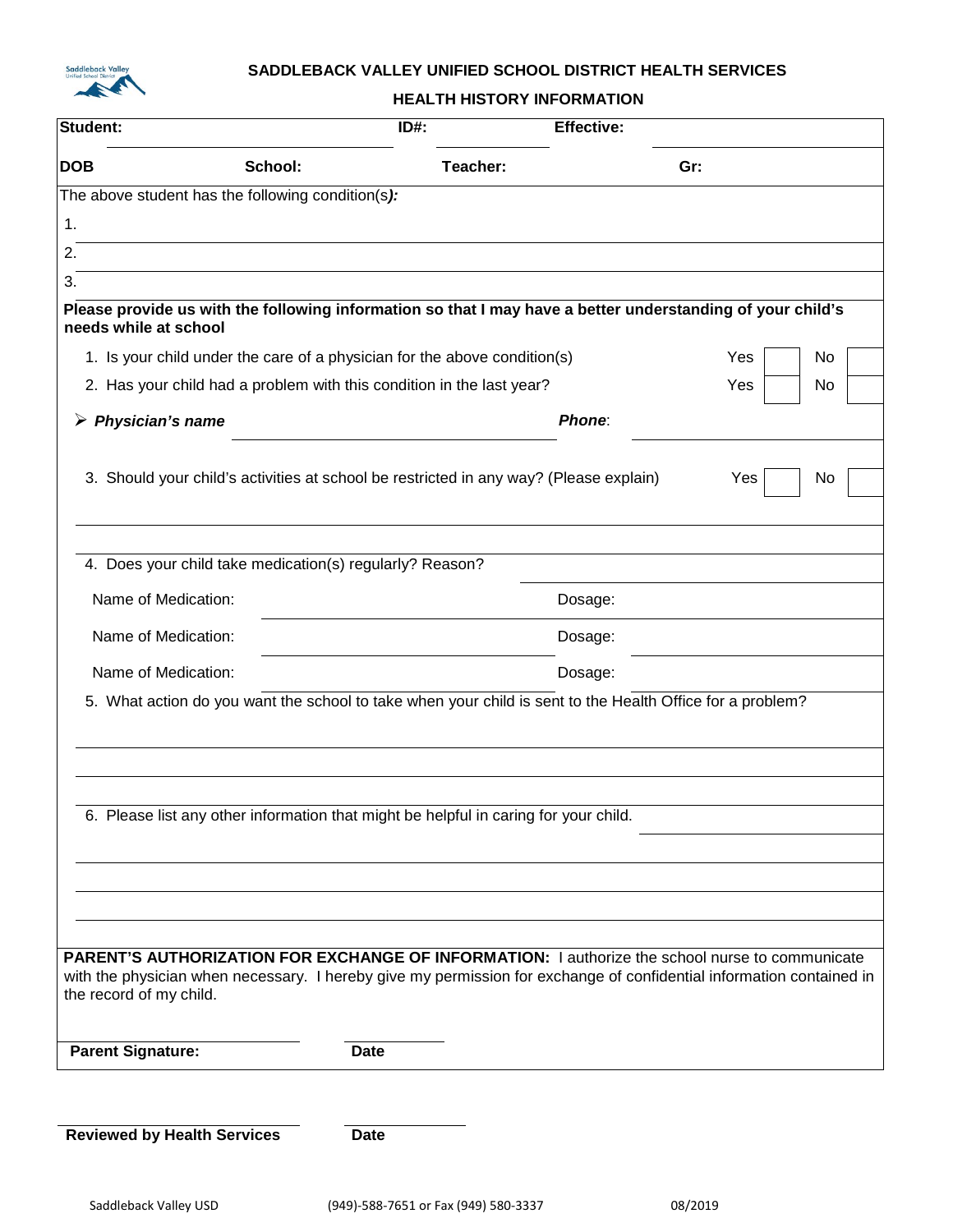

## **SADDLEBACK VALLEY UNIFIED SCHOOL DISTRICT HEALTH SERVICES**

**HEALTH HISTORY INFORMATION**

| Student:                                                                                                                            |         | $ID#$ :                                                                                                   | <b>Effective:</b> |                                                                                                                      |
|-------------------------------------------------------------------------------------------------------------------------------------|---------|-----------------------------------------------------------------------------------------------------------|-------------------|----------------------------------------------------------------------------------------------------------------------|
| <b>DOB</b>                                                                                                                          | School: | Teacher:                                                                                                  | Gr:               |                                                                                                                      |
| The above student has the following condition(s):                                                                                   |         |                                                                                                           |                   |                                                                                                                      |
| 1.                                                                                                                                  |         |                                                                                                           |                   |                                                                                                                      |
| 2.                                                                                                                                  |         |                                                                                                           |                   |                                                                                                                      |
| 3.                                                                                                                                  |         |                                                                                                           |                   |                                                                                                                      |
| Please provide us with the following information so that I may have a better understanding of your child's<br>needs while at school |         |                                                                                                           |                   |                                                                                                                      |
|                                                                                                                                     |         | 1. Is your child under the care of a physician for the above condition(s)                                 |                   | Yes<br>No                                                                                                            |
|                                                                                                                                     |         | 2. Has your child had a problem with this condition in the last year?                                     |                   | Yes<br>No                                                                                                            |
| Physician's name                                                                                                                    |         |                                                                                                           | Phone:            |                                                                                                                      |
|                                                                                                                                     |         | 3. Should your child's activities at school be restricted in any way? (Please explain)                    |                   | No<br>Yes                                                                                                            |
|                                                                                                                                     |         |                                                                                                           |                   |                                                                                                                      |
| 4. Does your child take medication(s) regularly? Reason?                                                                            |         |                                                                                                           |                   |                                                                                                                      |
| Name of Medication:                                                                                                                 |         |                                                                                                           | Dosage:           |                                                                                                                      |
| Name of Medication:                                                                                                                 |         | Dosage:                                                                                                   |                   |                                                                                                                      |
| Name of Medication:                                                                                                                 |         |                                                                                                           | Dosage:           |                                                                                                                      |
|                                                                                                                                     |         | 5. What action do you want the school to take when your child is sent to the Health Office for a problem? |                   |                                                                                                                      |
|                                                                                                                                     |         |                                                                                                           |                   |                                                                                                                      |
|                                                                                                                                     |         | 6. Please list any other information that might be helpful in caring for your child.                      |                   |                                                                                                                      |
|                                                                                                                                     |         |                                                                                                           |                   |                                                                                                                      |
|                                                                                                                                     |         |                                                                                                           |                   |                                                                                                                      |
|                                                                                                                                     |         |                                                                                                           |                   |                                                                                                                      |
|                                                                                                                                     |         |                                                                                                           |                   |                                                                                                                      |
| PARENT'S AUTHORIZATION FOR EXCHANGE OF INFORMATION: I authorize the school nurse to communicate<br>the record of my child.          |         |                                                                                                           |                   | with the physician when necessary. I hereby give my permission for exchange of confidential information contained in |
| <b>Parent Signature:</b>                                                                                                            |         | <b>Date</b>                                                                                               |                   |                                                                                                                      |
|                                                                                                                                     |         |                                                                                                           |                   |                                                                                                                      |
| <b>Reviewed by Health Services</b>                                                                                                  |         | <b>Date</b>                                                                                               |                   |                                                                                                                      |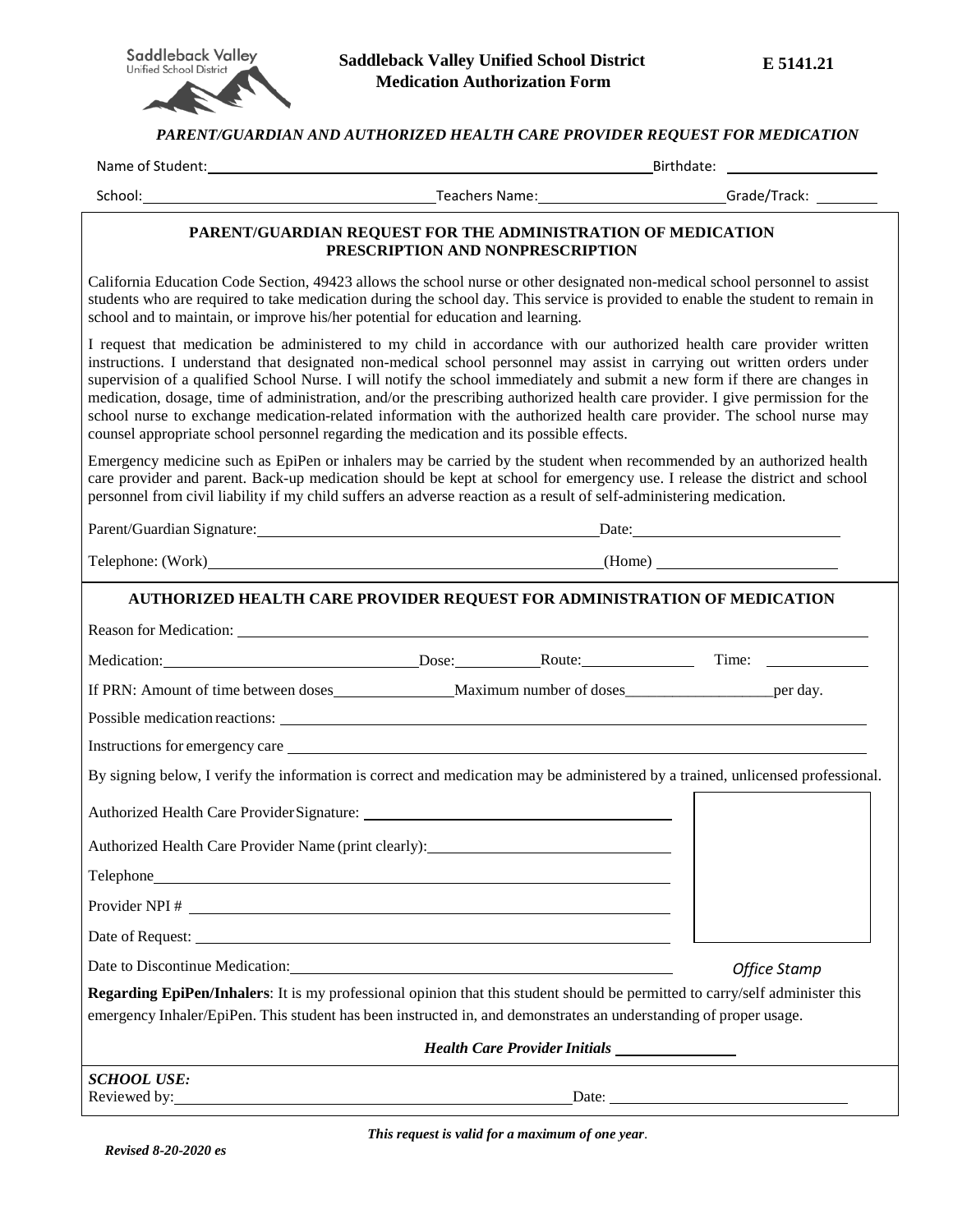

*PARENT/GUARDIAN AND AUTHORIZED HEALTH CARE PROVIDER REQUEST FOR MEDICATION*

|                                                                                                      | TAKENI/GUAKDIAN AND AUTHUKIZED HEALTH CAKE FKUVIDEK KEQUEST FUK MEDICATION                                                                                                                                                                                                                                                                                                                                                                                                                                                                                                                                                                |                     |  |
|------------------------------------------------------------------------------------------------------|-------------------------------------------------------------------------------------------------------------------------------------------------------------------------------------------------------------------------------------------------------------------------------------------------------------------------------------------------------------------------------------------------------------------------------------------------------------------------------------------------------------------------------------------------------------------------------------------------------------------------------------------|---------------------|--|
|                                                                                                      | Name of Student: Name of Students and Students and Students and Students and Students and Students and Students<br>Birthdate: The contract of the contract of the contract of the contract of the contract of the contract of the                                                                                                                                                                                                                                                                                                                                                                                                         |                     |  |
|                                                                                                      | School: Christian Communication (School: Christian Communication Christian Communication Christian Christian Christian Christian Christian Christian Christian Christian Christian Christian Christian Christian Christian Chr                                                                                                                                                                                                                                                                                                                                                                                                            |                     |  |
|                                                                                                      | PARENT/GUARDIAN REQUEST FOR THE ADMINISTRATION OF MEDICATION<br>PRESCRIPTION AND NONPRESCRIPTION                                                                                                                                                                                                                                                                                                                                                                                                                                                                                                                                          |                     |  |
| school and to maintain, or improve his/her potential for education and learning.                     | California Education Code Section, 49423 allows the school nurse or other designated non-medical school personnel to assist<br>students who are required to take medication during the school day. This service is provided to enable the student to remain in                                                                                                                                                                                                                                                                                                                                                                            |                     |  |
| counsel appropriate school personnel regarding the medication and its possible effects.              | I request that medication be administered to my child in accordance with our authorized health care provider written<br>instructions. I understand that designated non-medical school personnel may assist in carrying out written orders under<br>supervision of a qualified School Nurse. I will notify the school immediately and submit a new form if there are changes in<br>medication, dosage, time of administration, and/or the prescribing authorized health care provider. I give permission for the<br>school nurse to exchange medication-related information with the authorized health care provider. The school nurse may |                     |  |
|                                                                                                      | Emergency medicine such as EpiPen or inhalers may be carried by the student when recommended by an authorized health<br>care provider and parent. Back-up medication should be kept at school for emergency use. I release the district and school<br>personnel from civil liability if my child suffers an adverse reaction as a result of self-administering medication.                                                                                                                                                                                                                                                                |                     |  |
|                                                                                                      | Parent/Guardian Signature: Date: Date: Date:                                                                                                                                                                                                                                                                                                                                                                                                                                                                                                                                                                                              |                     |  |
|                                                                                                      | Telephone: (Work) (Home)                                                                                                                                                                                                                                                                                                                                                                                                                                                                                                                                                                                                                  |                     |  |
|                                                                                                      | AUTHORIZED HEALTH CARE PROVIDER REQUEST FOR ADMINISTRATION OF MEDICATION                                                                                                                                                                                                                                                                                                                                                                                                                                                                                                                                                                  |                     |  |
|                                                                                                      |                                                                                                                                                                                                                                                                                                                                                                                                                                                                                                                                                                                                                                           |                     |  |
|                                                                                                      | Medication: Dose: Route:                                                                                                                                                                                                                                                                                                                                                                                                                                                                                                                                                                                                                  |                     |  |
|                                                                                                      | If PRN: Amount of time between doses Maximum number of doses per day.                                                                                                                                                                                                                                                                                                                                                                                                                                                                                                                                                                     |                     |  |
|                                                                                                      |                                                                                                                                                                                                                                                                                                                                                                                                                                                                                                                                                                                                                                           |                     |  |
|                                                                                                      | Instructions for emergency care expansion of the state of the state of the state of the state of the state of the state of the state of the state of the state of the state of the state of the state of the state of the stat                                                                                                                                                                                                                                                                                                                                                                                                            |                     |  |
|                                                                                                      | By signing below, I verify the information is correct and medication may be administered by a trained, unlicensed professional.                                                                                                                                                                                                                                                                                                                                                                                                                                                                                                           |                     |  |
|                                                                                                      |                                                                                                                                                                                                                                                                                                                                                                                                                                                                                                                                                                                                                                           |                     |  |
|                                                                                                      | Authorized Health Care Provider Name (print clearly): ___________________________                                                                                                                                                                                                                                                                                                                                                                                                                                                                                                                                                         |                     |  |
|                                                                                                      |                                                                                                                                                                                                                                                                                                                                                                                                                                                                                                                                                                                                                                           |                     |  |
|                                                                                                      |                                                                                                                                                                                                                                                                                                                                                                                                                                                                                                                                                                                                                                           |                     |  |
|                                                                                                      |                                                                                                                                                                                                                                                                                                                                                                                                                                                                                                                                                                                                                                           |                     |  |
|                                                                                                      | Date to Discontinue Medication: Manual According to Discontinue Medication:                                                                                                                                                                                                                                                                                                                                                                                                                                                                                                                                                               | <b>Office Stamp</b> |  |
|                                                                                                      | Regarding EpiPen/Inhalers: It is my professional opinion that this student should be permitted to carry/self administer this<br>emergency Inhaler/EpiPen. This student has been instructed in, and demonstrates an understanding of proper usage.                                                                                                                                                                                                                                                                                                                                                                                         |                     |  |
|                                                                                                      | Health Care Provider Initials _______________                                                                                                                                                                                                                                                                                                                                                                                                                                                                                                                                                                                             |                     |  |
| <b>SCHOOL USE:</b><br>Reviewed by:<br><u> 1989 - Andrea Barbara, Amerikaansk politiker (d. 1989)</u> |                                                                                                                                                                                                                                                                                                                                                                                                                                                                                                                                                                                                                                           | Date: $\frac{1}{2}$ |  |

*This request is valid for a maximum of one year*.